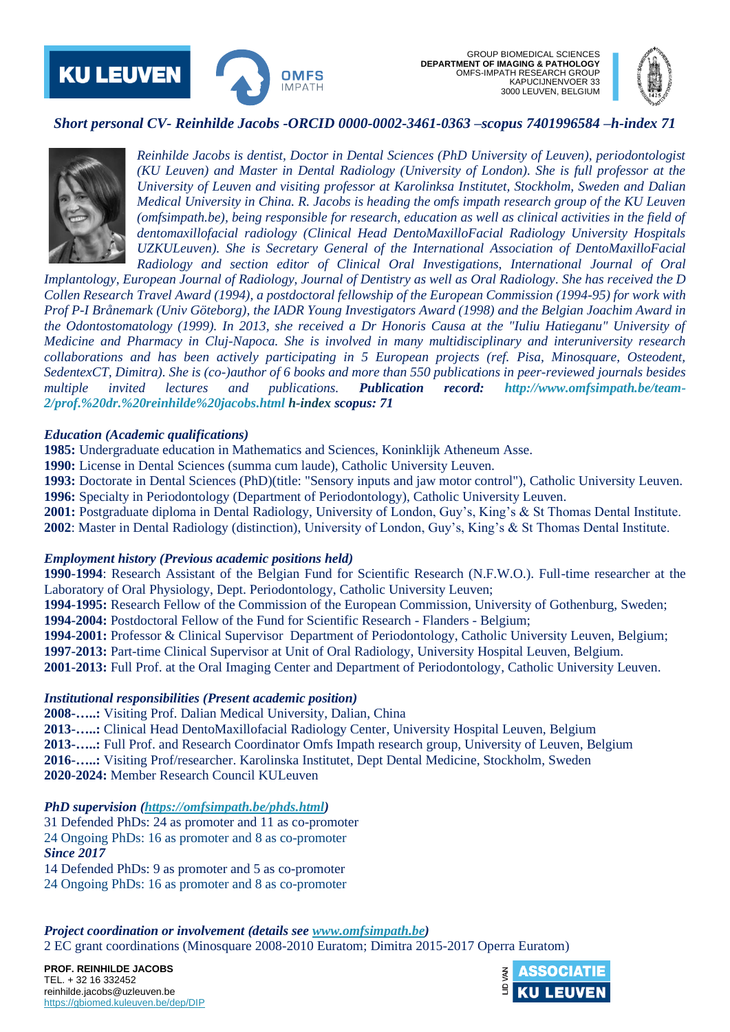



# *Short personal CV- Reinhilde Jacobs -ORCID 0000-0002-3461-0363 –scopus 7401996584 –h-index 71*



*Reinhilde Jacobs is dentist, Doctor in Dental Sciences (PhD University of Leuven), periodontologist (KU Leuven) and Master in Dental Radiology (University of London). She is full professor at the University of Leuven and visiting professor at Karolinksa Institutet, Stockholm, Sweden and Dalian Medical University in China. R. Jacobs is heading the omfs impath research group of the KU Leuven (omfsimpath.be), being responsible for research, education as well as clinical activities in the field of dentomaxillofacial radiology (Clinical Head DentoMaxilloFacial Radiology University Hospitals UZKULeuven). She is Secretary General of the International Association of DentoMaxilloFacial Radiology and section editor of Clinical Oral Investigations, International Journal of Oral* 

*Implantology, European Journal of Radiology, Journal of Dentistry as well as Oral Radiology. She has received the D Collen Research Travel Award (1994), a postdoctoral fellowship of the European Commission (1994-95) for work with Prof P-I Brånemark (Univ Göteborg), the IADR Young Investigators Award (1998) and the Belgian Joachim Award in the Odontostomatology (1999). In 2013, she received a Dr Honoris Causa at the "Iuliu Hatieganu" University of Medicine and Pharmacy in Cluj-Napoca. She is involved in many multidisciplinary and interuniversity research collaborations and has been actively participating in 5 European projects (ref. Pisa, Minosquare, Osteodent, SedentexCT, Dimitra). She is (co-)author of 6 books and more than 550 publications in peer-reviewed journals besides multiple invited lectures and publications. Publication record: [http://www.omfsimpath.be/team-](http://www.omfsimpath.be/team-2/prof.%20dr.%20reinhilde%20jacobs.html%20h-index)[2/prof.%20dr.%20reinhilde%20jacobs.html h-index](http://www.omfsimpath.be/team-2/prof.%20dr.%20reinhilde%20jacobs.html%20h-index) scopus: 71*

#### *Education (Academic qualifications)*

**1985:** Undergraduate education in Mathematics and Sciences, Koninklijk Atheneum Asse.

**1990:** License in Dental Sciences (summa cum laude), Catholic University Leuven.

**1993:** Doctorate in Dental Sciences (PhD)(title: "Sensory inputs and jaw motor control"), Catholic University Leuven. **1996:** Specialty in Periodontology (Department of Periodontology), Catholic University Leuven.

**2001:** Postgraduate diploma in Dental Radiology, University of London, Guy's, King's & St Thomas Dental Institute. **2002**: Master in Dental Radiology (distinction), University of London, Guy's, King's & St Thomas Dental Institute.

#### *Employment history (Previous academic positions held)*

**1990-1994**: Research Assistant of the Belgian Fund for Scientific Research (N.F.W.O.). Full-time researcher at the Laboratory of Oral Physiology, Dept. Periodontology, Catholic University Leuven;

**1994-1995:** Research Fellow of the Commission of the European Commission, University of Gothenburg, Sweden; **1994-2004:** Postdoctoral Fellow of the Fund for Scientific Research - Flanders - Belgium;

**1994-2001:** Professor & Clinical Supervisor Department of Periodontology, Catholic University Leuven, Belgium; **1997-2013:** Part-time Clinical Supervisor at Unit of Oral Radiology, University Hospital Leuven, Belgium.

**2001-2013:** Full Prof. at the Oral Imaging Center and Department of Periodontology, Catholic University Leuven.

# *Institutional responsibilities (Present academic position)*

**2008-…..:** Visiting Prof. Dalian Medical University, Dalian, China

**2013-…..:** Clinical Head DentoMaxillofacial Radiology Center, University Hospital Leuven, Belgium **2013-…..:** Full Prof. and Research Coordinator Omfs Impath research group, University of Leuven, Belgium **2016-…..:** Visiting Prof/researcher. Karolinska Institutet, Dept Dental Medicine, Stockholm, Sweden **2020-2024:** Member Research Council KULeuven

*PhD supervision [\(https://omfsimpath.be/phds.html\)](https://omfsimpath.be/phds.html)*

31 Defended PhDs: 24 as promoter and 11 as co-promoter 24 Ongoing PhDs: 16 as promoter and 8 as co-promoter *Since 2017*

14 Defended PhDs: 9 as promoter and 5 as co-promoter

24 Ongoing PhDs: 16 as promoter and 8 as co-promoter

*Project coordination or involvement (details se[e www.omfsimpath.be\)](http://www.omfsimpath.be/)* 2 EC grant coordinations (Minosquare 2008-2010 Euratom; Dimitra 2015-2017 Operra Euratom)

**PROF. REINHILDE JACOBS** TEL. + 32 16 332452 reinhilde.jacobs@uzleuven.be <https://gbiomed.kuleuven.be/dep/DIP>

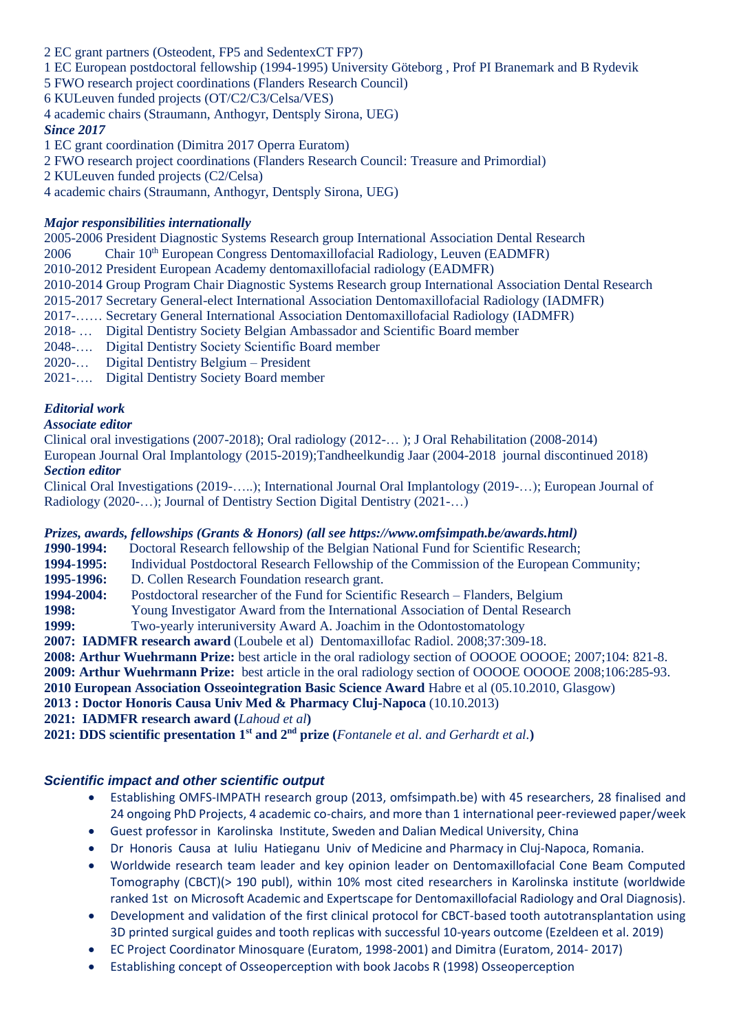- 2 EC grant partners (Osteodent, FP5 and SedentexCT FP7)
- 1 EC European postdoctoral fellowship (1994-1995) University Göteborg , Prof PI Branemark and B Rydevik

5 FWO research project coordinations (Flanders Research Council)

- 6 KULeuven funded projects (OT/C2/C3/Celsa/VES)
- 4 academic chairs (Straumann, Anthogyr, Dentsply Sirona, UEG) *Since 2017*

1 EC grant coordination (Dimitra 2017 Operra Euratom)

2 FWO research project coordinations (Flanders Research Council: Treasure and Primordial)

2 KULeuven funded projects (C2/Celsa)

4 academic chairs (Straumann, Anthogyr, Dentsply Sirona, UEG)

### *Major responsibilities internationally*

2005-2006 President Diagnostic Systems Research group International Association Dental Research  $2006$  Chair  $10^{th}$  European Congress Dentomaxillofacial Radiology, Leuven (EADMFR) 2010-2012 President European Academy dentomaxillofacial radiology (EADMFR) 2010-2014 Group Program Chair Diagnostic Systems Research group International Association Dental Research 2015-2017 Secretary General-elect International Association Dentomaxillofacial Radiology (IADMFR) 2017-…… Secretary General International Association Dentomaxillofacial Radiology (IADMFR) 2018- … Digital Dentistry Society Belgian Ambassador and Scientific Board member 2048-…. Digital Dentistry Society Scientific Board member

- 2020-… Digital Dentistry Belgium President
- 2021-…. Digital Dentistry Society Board member

# *Editorial work*

### *Associate editor*

Clinical oral investigations (2007-2018); Oral radiology (2012-… ); J Oral Rehabilitation (2008-2014) European Journal Oral Implantology (2015-2019);Tandheelkundig Jaar (2004-2018 journal discontinued 2018) *Section editor*

Clinical Oral Investigations (2019-…..); International Journal Oral Implantology (2019-…); European Journal of Radiology (2020-…); Journal of Dentistry Section Digital Dentistry (2021-…)

# *Prizes, awards, fellowships (Grants & Honors) (all see https://www.omfsimpath.be/awards.html)*

*1***990-1994:** Doctoral Research fellowship of the Belgian National Fund for Scientific Research;

**1994-1995:** Individual Postdoctoral Research Fellowship of the Commission of the European Community;

**1995-1996:** D. Collen Research Foundation research grant.

**1994-2004:** Postdoctoral researcher of the Fund for Scientific Research – Flanders, Belgium

**1998:** Young Investigator Award from the International Association of Dental Research

**1999:** Two-yearly interuniversity Award A. Joachim in the Odontostomatology

**2007: IADMFR research award** (Loubele et al) [Dentomaxillofac Radiol.](http://www.ncbi.nlm.nih.gov/pubmed/18757715) 2008;37:309-18.

**2008: Arthur Wuehrmann Prize:** best article in the oral radiology section of OOOOE OOOOE; 2007;104: 821-8.

**2009: Arthur Wuehrmann Prize:** best article in the oral radiology section of OOOOE OOOOE 2008;106:285-93.

**2010 European Association Osseointegration Basic Science Award** Habre et al (05.10.2010, Glasgow)

**2013 : Doctor Honoris Causa Univ Med & Pharmacy Cluj-Napoca** (10.10.2013)

**2021: IADMFR research award (***Lahoud et al***)** 

**2021: DDS scientific presentation 1st and 2nd prize (***Fontanele et al. and Gerhardt et al.***)** 

# *Scientific impact and other scientific output*

- Establishing OMFS-IMPATH research group (2013, omfsimpath.be) with 45 researchers, 28 finalised and 24 ongoing PhD Projects, 4 academic co-chairs, and more than 1 international peer-reviewed paper/week
- Guest professor in Karolinska Institute, Sweden and Dalian Medical University, China
- Dr Honoris Causa at Iuliu Hatieganu Univ of Medicine and Pharmacy in Cluj-Napoca, Romania.
- Worldwide research team leader and key opinion leader on Dentomaxillofacial Cone Beam Computed Tomography (CBCT)(> 190 publ), within 10% most cited researchers in Karolinska institute (worldwide ranked 1st on Microsoft Academic and Expertscape for Dentomaxillofacial Radiology and Oral Diagnosis).
- Development and validation of the first clinical protocol for CBCT-based tooth autotransplantation using 3D printed surgical guides and tooth replicas with successful 10-years outcome (Ezeldeen et al. 2019)
- EC Project Coordinator Minosquare (Euratom, 1998-2001) and Dimitra (Euratom, 2014- 2017)
- Establishing concept of Osseoperception with book Jacobs R (1998) Osseoperception